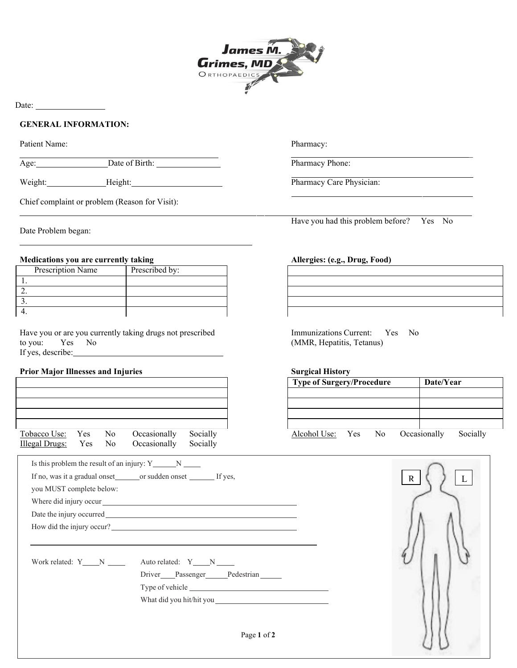

Date:

## **GENERAL INFORMATION:**

Patient Name:

Age: Date of Birth:

Weight: Height: Height: Pharmacy Care Physician:

Chief complaint or problem (Reason for Visit):

Date Problem began:

## **Medications you are currently taking Allergies: (e.g., Drug, Food)**

| Prescription Name | Prescribed by: |
|-------------------|----------------|
|                   |                |
|                   |                |
|                   |                |
|                   |                |

Have you or are you currently taking drugs not prescribed to you: Yes No If yes, describe:

# **Prior Major Illnesses and Injuries Surgical History**

|                       |  |                                                                                               |          | <b>Type of Surgery/Procedure</b> |  |  |  | Date/Year |          |
|-----------------------|--|-----------------------------------------------------------------------------------------------|----------|----------------------------------|--|--|--|-----------|----------|
|                       |  |                                                                                               |          |                                  |  |  |  |           |          |
|                       |  |                                                                                               |          |                                  |  |  |  |           |          |
|                       |  |                                                                                               |          |                                  |  |  |  |           |          |
| Tobacco Use: Yes No   |  | Occasionally                                                                                  | Socially | Alcohol Use: Yes No Occasionally |  |  |  |           | Socially |
| Illegal Drugs: Yes No |  | Occasionally Socially                                                                         |          |                                  |  |  |  |           |          |
|                       |  | $\mathbf{I} = 41.12 \ldots 1.12 \ldots 41.2 \ldots 14.16 \ldots 0.12 \ldots 0.12 \ldots 0.12$ |          |                                  |  |  |  |           |          |

Pharmacy:

Pharmacy Phone:

Have you had this problem before? Yes No

 $\overline{a}$ 

Immunizations Current: Yes No (MMR, Hepatitis, Tetanus)

| <b>Type of Surgery/Procedure</b> |  | Date/Year |  |              |          |  |
|----------------------------------|--|-----------|--|--------------|----------|--|
|                                  |  |           |  |              |          |  |
|                                  |  |           |  |              |          |  |
|                                  |  |           |  |              |          |  |
|                                  |  |           |  |              |          |  |
| Alcohol Use: Yes                 |  | No.       |  | Occasionally | Socially |  |

| you MUST complete below: |                                                                                                                                                                                                                               |  |
|--------------------------|-------------------------------------------------------------------------------------------------------------------------------------------------------------------------------------------------------------------------------|--|
|                          | Where did injury occur will be a set of the state of the state of the state of the state of the state of the state of the state of the state of the state of the state of the state of the state of the state of the state of |  |
|                          |                                                                                                                                                                                                                               |  |
|                          | How did the injury occur?                                                                                                                                                                                                     |  |
| Work related: Y N        | Auto related: Y_N_N___<br>Driver Passenger Pedestrian                                                                                                                                                                         |  |
|                          |                                                                                                                                                                                                                               |  |
|                          |                                                                                                                                                                                                                               |  |



Page **1** of **2**